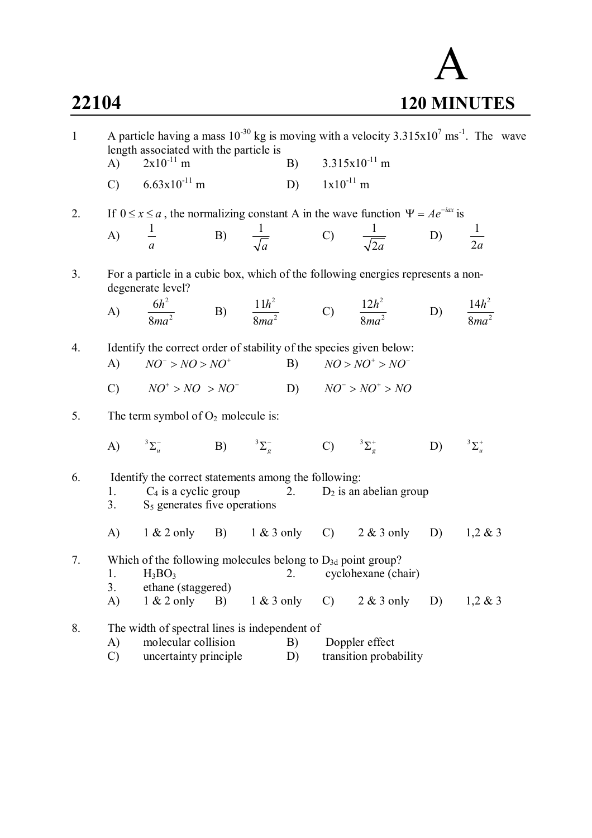

| $\mathbf{1}$ | A particle having a mass $10^{-30}$ kg is moving with a velocity $3.315 \times 10^{7}$ ms <sup>-1</sup> . The wave<br>length associated with the particle is<br>$2x10^{-11}$ m<br>(A) |                                                                               |    |              |    | B) $3.315x10^{-11}$ m |                                                                                                    |    |               |
|--------------|---------------------------------------------------------------------------------------------------------------------------------------------------------------------------------------|-------------------------------------------------------------------------------|----|--------------|----|-----------------------|----------------------------------------------------------------------------------------------------|----|---------------|
|              |                                                                                                                                                                                       |                                                                               |    |              |    |                       |                                                                                                    |    |               |
|              |                                                                                                                                                                                       | C) $6.63 \times 10^{-11}$ m                                                   |    |              |    | D) $1x10^{-11}$ m     |                                                                                                    |    |               |
| 2.           |                                                                                                                                                                                       |                                                                               |    |              |    |                       | If $0 \le x \le a$ , the normalizing constant A in the wave function $\Psi = Ae^{-iax}$ is         |    |               |
|              | A)                                                                                                                                                                                    |                                                                               |    |              |    |                       |                                                                                                    |    |               |
|              |                                                                                                                                                                                       | $rac{1}{a}$                                                                   |    |              |    |                       | B) $\frac{1}{\sqrt{a}}$ C) $\frac{1}{\sqrt{2a}}$ D) $\frac{1}{2a}$                                 |    |               |
| 3.           |                                                                                                                                                                                       | degenerate level?                                                             |    |              |    |                       | For a particle in a cubic box, which of the following energies represents a non-                   |    |               |
|              |                                                                                                                                                                                       |                                                                               |    |              |    |                       | A) $\frac{6h^2}{8ma^2}$ B) $\frac{11h^2}{8ma^2}$ C) $\frac{12h^2}{8ma^2}$ D) $\frac{14h^2}{8ma^2}$ |    |               |
|              |                                                                                                                                                                                       |                                                                               |    |              |    |                       |                                                                                                    |    |               |
| 4.           |                                                                                                                                                                                       | Identify the correct order of stability of the species given below:           |    |              |    |                       |                                                                                                    |    |               |
|              | (A)                                                                                                                                                                                   | $NO^- > NO > NO^+$                                                            |    |              |    |                       | B) $NO > NO^+ > NO^-$                                                                              |    |               |
|              |                                                                                                                                                                                       | C) $NO^+ > NO > NO^-$                                                         |    |              |    |                       | D) $NO^{\dagger} > NO^{\dagger} > NO$                                                              |    |               |
| 5.           |                                                                                                                                                                                       | The term symbol of $O_2$ molecule is:                                         |    |              |    |                       |                                                                                                    |    |               |
|              |                                                                                                                                                                                       | A) ${}^{3}\Sigma_{u}^{-}$ B) ${}^{3}\Sigma_{g}^{-}$ C) ${}^{3}\Sigma_{g}^{+}$ |    |              |    |                       |                                                                                                    | D) | $3\Sigma_u^+$ |
| 6.           |                                                                                                                                                                                       | Identify the correct statements among the following:                          |    |              |    |                       |                                                                                                    |    |               |
|              | 1.                                                                                                                                                                                    |                                                                               |    |              |    |                       | $C_4$ is a cyclic group 2. $D_2$ is an abelian group                                               |    |               |
|              | 3.                                                                                                                                                                                    | $S5$ generates five operations                                                |    |              |    |                       |                                                                                                    |    |               |
|              |                                                                                                                                                                                       |                                                                               |    |              |    |                       | A) $1 \& 2 \text{ only } B$ $1 \& 3 \text{ only } C$ $2 \& 3 \text{ only } D$ $1, 2 \& 3$          |    |               |
| 7.           | Which of the following molecules belong to $D_{3d}$ point group?                                                                                                                      |                                                                               |    |              |    |                       |                                                                                                    |    |               |
|              | 1.                                                                                                                                                                                    | $H_3BO_3$                                                                     |    |              | 2. |                       | cyclohexane (chair)                                                                                |    |               |
|              | 3.                                                                                                                                                                                    | ethane (staggered)                                                            |    |              |    |                       |                                                                                                    |    |               |
|              | A)                                                                                                                                                                                    | $1 & 2$ only                                                                  | B) | $1 & 3$ only |    | $\mathcal{C}$         | $2 & 3$ only                                                                                       | D) | $1,2 \& 3$    |
| 8.           |                                                                                                                                                                                       | The width of spectral lines is independent of                                 |    |              |    |                       |                                                                                                    |    |               |
|              | A)                                                                                                                                                                                    | molecular collision                                                           |    |              | B) | Doppler effect        |                                                                                                    |    |               |
|              | $\mathcal{C}$                                                                                                                                                                         | uncertainty principle                                                         |    |              | D) |                       | transition probability                                                                             |    |               |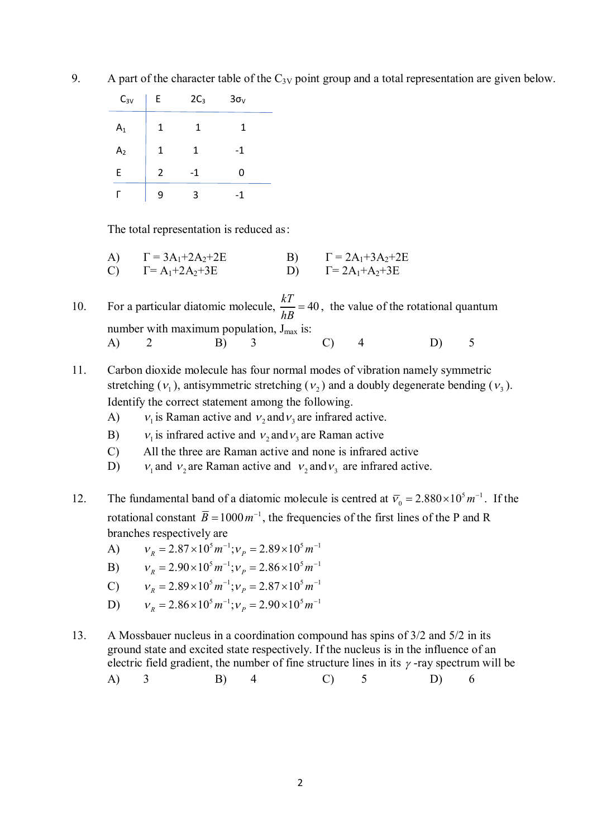| $C_{3V}$       | E | $2C_3$ | $3\sigma_v$ |
|----------------|---|--------|-------------|
| A <sub>1</sub> | 1 | 1      | 1           |
| A <sub>2</sub> | 1 | 1      | $-1$        |
| E              | 2 | $-1$   | 0           |
|                | 9 | 3      | -1          |

9. A part of the character table of the  $C_{3V}$  point group and a total representation are given below.

The total representation is reduced as:

- A)  $\Gamma = 3A_1 + 2A_2 + 2E$  B)  $\Gamma = 2A_1 + 3A_2 + 2E$ C)  $\Gamma = A_1 + 2A_2 + 3E$  D)  $\Gamma = 2A_1 + A_2 + 3E$
- 10. For a particular diatomic molecule,  $\frac{kT}{10} = 40$ *hB*  $=$  40, the value of the rotational quantum number with maximum population,  $J_{max}$  is: A) 2 B) 3 C) 4 D) 5
- 11. Carbon dioxide molecule has four normal modes of vibration namely symmetric stretching  $(v_1)$ , antisymmetric stretching  $(v_2)$  and a doubly degenerate bending  $(v_3)$ . Identify the correct statement among the following.
	- $\bf{A}$ is Raman active and  $v_2$  and  $v_3$  are infrared active.
	- $B)$ is infrared active and  $v_2$  and  $v_3$  are Raman active
	- C) All the three are Raman active and none is infrared active
	- $D$ ) and  $v_2$  are Raman active and  $v_2$  and  $v_3$  are infrared active.
- 12. The fundamental band of a diatomic molecule is centred at  $\overline{v}_0 = 2.880 \times 10^5 m^{-1}$ . If the rotational constant  $\overline{B} = 1000 \, \text{m}^{-1}$ , the frequencies of the first lines of the P and R branches respectively are
	- A)  $V_R = 2.87 \times 10^5 m^{-1}; V_P = 2.89 \times 10^5 m^{-1}$
	- B)  $V_R = 2.90 \times 10^5 m^{-1}; V_P = 2.86 \times 10^5 m^{-1}$
	- C)  $v_R = 2.89 \times 10^5 m^{-1}; v_P = 2.87 \times 10^5 m^{-1}$
	- D)  $V_R = 2.86 \times 10^5 m^{-1}; V_P = 2.90 \times 10^5 m^{-1}$
- 13. A Mossbauer nucleus in a coordination compound has spins of 3/2 and 5/2 in its ground state and excited state respectively. If the nucleus is in the influence of an electric field gradient, the number of fine structure lines in its  $\gamma$ -ray spectrum will be A) 3 B) 4 C) 5 D) 6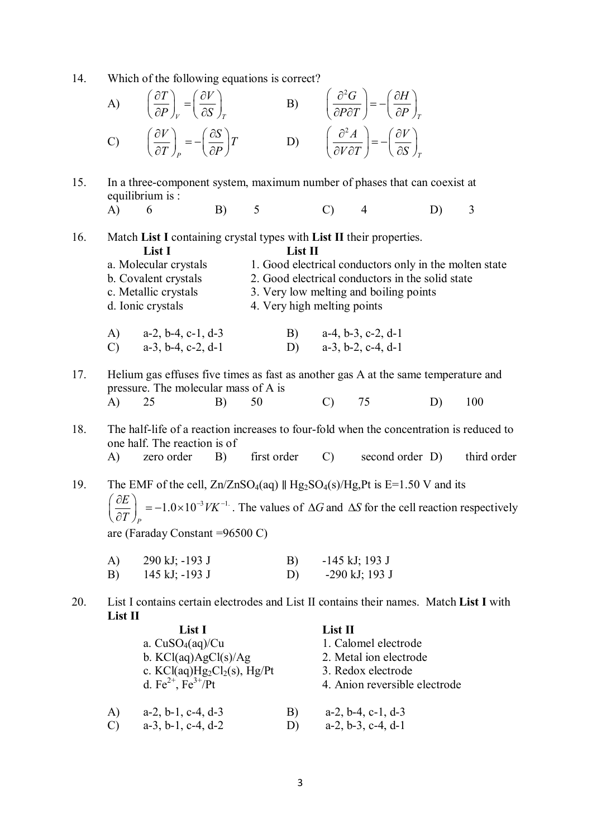14. Which of the following equations is correct?

A) 
$$
\left(\frac{\partial T}{\partial P}\right)_V = \left(\frac{\partial V}{\partial S}\right)_T
$$
 B)  $\left(\frac{\partial^2 G}{\partial P \partial T}\right) = -\left(\frac{\partial H}{\partial P}\right)_T$   
\nC)  $\left(\frac{\partial V}{\partial T}\right)_P = -\left(\frac{\partial S}{\partial P}\right)T$  D)  $\left(\frac{\partial^2 A}{\partial V \partial T}\right) = -\left(\frac{\partial V}{\partial S}\right)_T$ 

- 15. In a three-component system, maximum number of phases that can coexist at equilibrium is :
	- A) 6 B) 5 C) 4 D) 3

16. Match **List I** containing crystal types with **List II** their properties.

A) a-2, b-4, c-1, d-3 B) a-4, b-3, c-2, d-1 C)  $a-3, b-4, c-2, d-1$  D)  $a-3, b-2, c-4, d-1$ 

| List I                | List II                                                |
|-----------------------|--------------------------------------------------------|
| a. Molecular crystals | 1. Good electrical conductors only in the molten state |
| b. Covalent crystals  | 2. Good electrical conductors in the solid state       |
| c. Metallic crystals  | 3. Very low melting and boiling points                 |
| d. Ionic crystals     | 4. Very high melting points                            |
|                       |                                                        |

- 17. Helium gas effuses five times as fast as another gas A at the same temperature and pressure. The molecular mass of A is
	- A) 25 B) 50 C) 75 D) 100
- 18. The half-life of a reaction increases to four-fold when the concentration is reduced to one half. The reaction is of A) zero order B) first order C) second order D) third order
- 19. The EMF of the cell,  $Zn/ZnSO_4(aq)$  || Hg<sub>2</sub>SO<sub>4</sub>(s)/Hg,Pt is E=1.50 V and its  $1.0\times 10^{-3}$   $VK^{-1}$ *P*  $\left( \frac{E}{E} \right) = -1.0 \times 10^{-3}$  VK  $\left(\frac{\partial E}{\partial T}\right)_P = -1.0 \times 10^{-3} V K^{-1}$ . The values of  $\Delta G$  and  $\Delta S$  for the cell reaction respectively are (Faraday Constant =96500 C)
	- A) 290 kJ; -193 J B) -145 kJ; 193 J B) 145 kJ; -193 J D) -290 kJ; 193 J
- 20. List I contains certain electrodes and List II contains their names. Match **List I** with **List II**

|    | List I                          |    | List II                       |
|----|---------------------------------|----|-------------------------------|
|    | a. $CuSO4(aq)/Cu$               |    | 1. Calomel electrode          |
|    | b. $KCl(aq)AgCl(s)/Ag$          |    | 2. Metal ion electrode        |
|    | c. $KCl(aq)Hg_2Cl_2(s)$ , Hg/Pt |    | 3. Redox electrode            |
|    | d. $Fe^{2+}$ , $Fe^{3+}/Pt$     |    | 4. Anion reversible electrode |
|    |                                 |    |                               |
| A) | $a-2$ , $b-1$ , $c-4$ , $d-3$   | B) | $a-2$ , $b-4$ , $c-1$ , $d-3$ |
| C) | $a-3$ , $b-1$ , $c-4$ , $d-2$   | D) | $a-2, b-3, c-4, d-1$          |
|    |                                 |    |                               |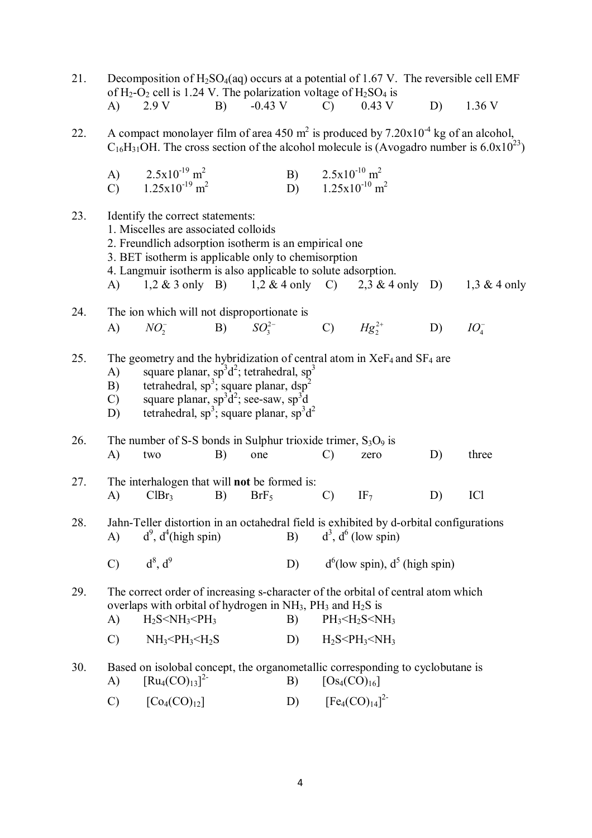| 21. |                                 | Decomposition of $H_2SO_4(aq)$ occurs at a potential of 1.67 V. The reversible cell EMF<br>of $H_2-O_2$ cell is 1.24 V. The polarization voltage of $H_2SO_4$ is                                                                                                                                            |    |                  |    |                                                                              |                                                 |    |                |
|-----|---------------------------------|-------------------------------------------------------------------------------------------------------------------------------------------------------------------------------------------------------------------------------------------------------------------------------------------------------------|----|------------------|----|------------------------------------------------------------------------------|-------------------------------------------------|----|----------------|
|     | $\bf{A}$                        | 2.9V                                                                                                                                                                                                                                                                                                        | B) | $-0.43$ V        |    | $\mathcal{C}$                                                                | $0.43$ V                                        | D) | 1.36V          |
| 22. |                                 | A compact monolayer film of area 450 m <sup>2</sup> is produced by $7.20 \times 10^{-4}$ kg of an alcohol,<br>$C_{16}H_{31}OH$ . The cross section of the alcohol molecule is (Avogadro number is 6.0x10 <sup>23</sup> )                                                                                    |    |                  |    |                                                                              |                                                 |    |                |
|     | A)<br>$\mathcal{C}$             | $2.5x10^{-19}$ m <sup>2</sup><br>$1.25x10^{-19}$ m <sup>2</sup>                                                                                                                                                                                                                                             |    |                  |    | B) $2.5x10^{-10}$ m <sup>2</sup><br>D) $1.25 \times 10^{-10}$ m <sup>2</sup> |                                                 |    |                |
| 23. | A)                              | Identify the correct statements:<br>1. Miscelles are associated colloids<br>2. Freundlich adsorption isotherm is an empirical one<br>3. BET isotherm is applicable only to chemisorption<br>4. Langmuir isotherm is also applicable to solute adsorption.                                                   |    |                  |    |                                                                              | 1,2 & 3 only B) 1,2 & 4 only C) 2,3 & 4 only D) |    | 1,3 $&$ 4 only |
| 24. | $\bf{A}$                        | The ion which will not disproportionate is<br>$NO_2^-$ B) $SO_3^{2-}$ C) $Hg_2^{2+}$                                                                                                                                                                                                                        |    |                  |    |                                                                              |                                                 | D) | $IO_{4}^{-}$   |
| 25. | A)<br>B)<br>$\mathcal{C}$<br>D) | The geometry and the hybridization of central atom in $XeF_4$ and $SF_4$ are<br>square planar, $\sin^3 d^2$ ; tetrahedral, $\text{sp}^3$<br>tetrahedral, sp <sup>3</sup> ; square planar, dsp <sup>2</sup><br>square planar, $sp^3d^2$ ; see-saw, $sp^3d$<br>tetrahedral, $sp^3$ ; square planar, $sp^3d^2$ |    |                  |    |                                                                              |                                                 |    |                |
| 26. | A)                              | The number of S-S bonds in Sulphur trioxide trimer, $S_3O_9$ is<br>two                                                                                                                                                                                                                                      | B) | one              |    | $\mathcal{C}$                                                                | zero                                            | D) | three          |
| 27. | A)                              | The interhalogen that will <b>not</b> be formed is:<br>ClBr <sub>3</sub>                                                                                                                                                                                                                                    | B) | BrF <sub>5</sub> |    | $\mathcal{C}$                                                                | IF <sub>7</sub>                                 | D) | ICl            |
| 28. | $\mathbf{A}$                    | Jahn-Teller distortion in an octahedral field is exhibited by d-orbital configurations<br>$d^9$ , $d^4$ (high spin)                                                                                                                                                                                         |    |                  | B) |                                                                              | $d^3$ , $d^6$ (low spin)                        |    |                |
|     | $\mathcal{C}$                   | $d^8$ , $d^9$                                                                                                                                                                                                                                                                                               |    |                  | D) |                                                                              | $d^{6}$ (low spin), $d^{5}$ (high spin)         |    |                |
| 29. | A)                              | The correct order of increasing s-character of the orbital of central atom which<br>overlaps with orbital of hydrogen in $NH_3$ , $PH_3$ and $H_2S$ is<br>$H_2S < NH_3 < PH_3$                                                                                                                              |    |                  | B) |                                                                              | $PH_3$ < $H_2S$ < $NH_3$                        |    |                |
|     | $\mathcal{C}$                   | $NH3 < PH3 < H2S$                                                                                                                                                                                                                                                                                           |    |                  | D) |                                                                              | $H_2S < P H_3 < N H_3$                          |    |                |
| 30. | A)                              | Based on isolobal concept, the organometallic corresponding to cyclobutane is<br>$\left[\text{Ru}_{4}(\text{CO})_{13}\right]^{2}$                                                                                                                                                                           |    |                  | B) | $[Os_4(CO)_{16}]$                                                            |                                                 |    |                |
|     | $\mathcal{C}$                   | $[Co_4(CO)_{12}]$                                                                                                                                                                                                                                                                                           |    |                  | D) |                                                                              | $[Fe_4(CO)_{14}]^2$                             |    |                |

4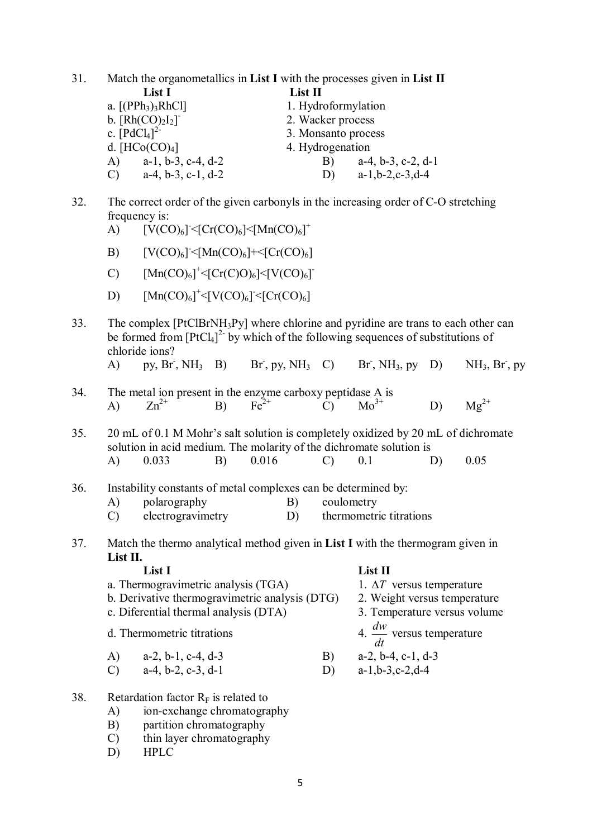31. Match the organometallics in **List I** with the processes given in **List II List I List II** a.  $[(PPh_3)_3RhCl]$  1. Hydroformylation

- $b. [Rh(CO)<sub>2</sub>I<sub>2</sub>]$ 2. Wacker process c.  $[PdCl<sub>4</sub>]$ <sup>2-</sup> 3. Monsanto process d.  $[HCo(CO)<sub>4</sub>]$  4. Hydrogenation A) a-1, b-3, c-4, d-2 B) a-4, b-3, c-2, d-1 C) a-4, b-3, c-1, d-2 D) a-1,b-2,c-3,d-4
- 32. The correct order of the given carbonyls in the increasing order of C-O stretching frequency is:
	- A)  $[V(CO)_6] < [Cr(CO)_6] < [Mn(CO)_6]$ <sup>+</sup>
	- B)  $[V(CO)_6] \leq [Mn(CO)_6] + \leq [Cr(CO)_6]$
	- C)  $[Mn(CO)_6]^+ \leq [Cr(C)O)_6] \leq [V(CO)_6]^+$
	- D)  $[Mn(CO)_6]^+ < [V(CO)_6] < [Cr(CO)_6]$
- 33. The complex [PtClBrNH3Py] where chlorine and pyridine are trans to each other can be formed from  $[PtCl<sub>4</sub>]<sup>2</sup>$  by which of the following sequences of substitutions of chloride ions?
	- A) py,  $Br$ ,  $NH_3$  B) Br  $Br^-, pv, NH_3$  C)  $Br, NH_3, pv$  D)  $NH<sub>3</sub>, Br<sub>1</sub>, pv$
- 34. The metal ion present in the enzyme carboxy peptidase A is A)  $Zn^{2+}$  B)  $Fe^{2+}$  C)  $Mo^{3+}$  D)  $Mg^{2+}$

35. 20 mL of 0.1 M Mohr's salt solution is completely oxidized by 20 mL of dichromate solution in acid medium. The molarity of the dichromate solution is A) 0.033 B) 0.016 C) 0.1 D) 0.05

- 36. Instability constants of metal complexes can be determined by:
	- A) polarography B) coulometry
	- C) electrogravimetry D) thermometric titrations
- 37. Match the thermo analytical method given in **List I** with the thermogram given in **List II.**

#### **List I List II**

- a. Thermogravimetric analysis  $(TGA)$  1.  $\Delta T$  versus temperature
- b. Derivative thermogravimetric analysis (DTG) 2. Weight versus temperature
- c. Diferential thermal analysis (DTA) 3. Temperature versus volume
- d. Thermometric titrations

A) a-2, b-1, c-4, d-3 <br>
B) a-2, b-4, c-1, d-3<br>
D) a-1, b-3, c-2, d-4

- C) a-4, b-2, c-3, d-1 D)
- 38. Retardation factor  $R_F$  is related to
	- A) ion-exchange chromatography
	- B) partition chromatography
	- C) thin layer chromatography
	- D) HPLC
- *dw dt* versus temperature
- 
-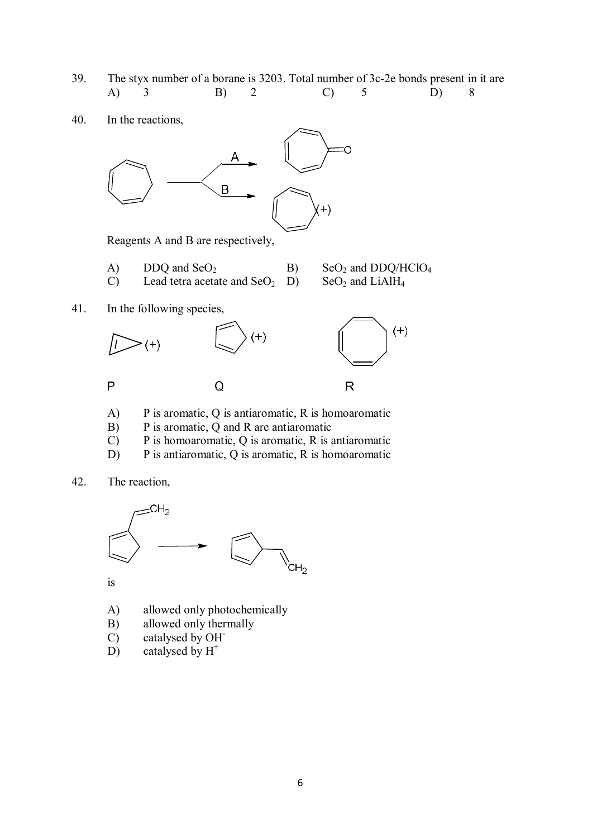- 39. The styx number of a borane is 3203. Total number of 3c-2e bonds present in it are A) 3 B) 2 C) 5 D) 8
- 40. In the reactions,



Reagents A and B are respectively,

- A) DDQ and  $SeO<sub>2</sub>$  B)  $SeO<sub>2</sub>$  and DDQ/HClO<sub>4</sub><br>C) Lead tetra acetate and  $SeO<sub>2</sub>$  D)  $SeO<sub>2</sub>$  and LiAlH<sub>4</sub> Lead tetra acetate and  $SeO<sub>2</sub>$  D)
- 41. In the following species,



- A) P is aromatic, Q is antiaromatic, R is homoaromatic
- B) P is aromatic, Q and R are antiaromatic
- C) P is homoaromatic, Q is aromatic, R is antiaromatic
- D) P is antiaromatic, Q is aromatic, R is homoaromatic
- 42. The reaction,



is

- A) allowed only photochemically
- B) allowed only thermally
- C) catalysed by OH-
- D) catalysed by  $H^+$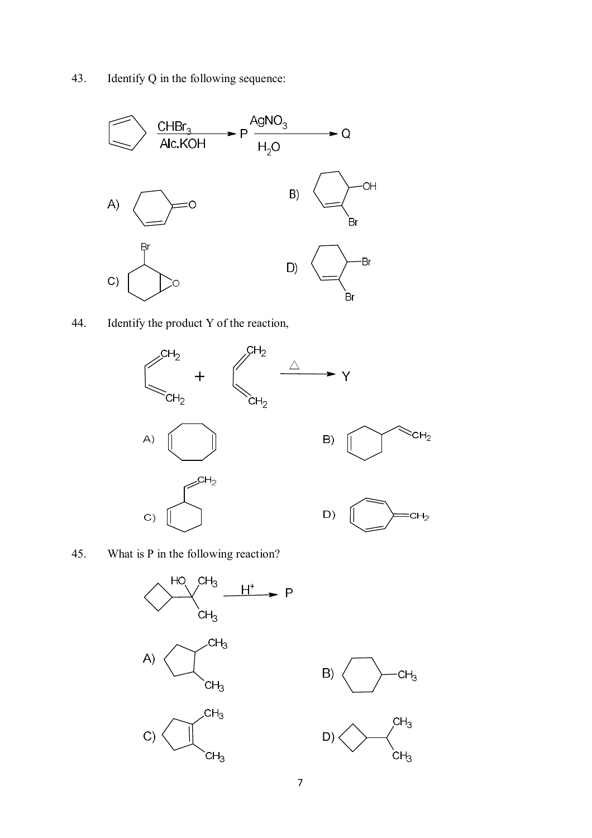43. Identify Q in the following sequence:



44. Identify the product Y of the reaction,



45. What is P in the following reaction?



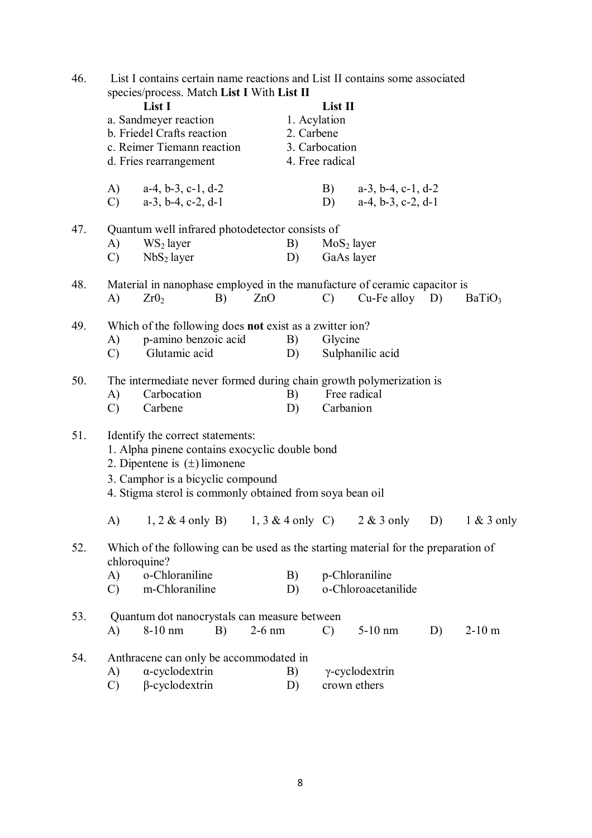| 46. | List I contains certain name reactions and List II contains some associated<br>species/process. Match List I With List II |                                                                                                                                                                                                                         |    |          |                            |                                              |                                                                |    |                    |
|-----|---------------------------------------------------------------------------------------------------------------------------|-------------------------------------------------------------------------------------------------------------------------------------------------------------------------------------------------------------------------|----|----------|----------------------------|----------------------------------------------|----------------------------------------------------------------|----|--------------------|
|     |                                                                                                                           | List I<br>a. Sandmeyer reaction<br>b. Friedel Crafts reaction<br>c. Reimer Tiemann reaction<br>d. Fries rearrangement                                                                                                   |    |          | 1. Acylation<br>2. Carbene | List II<br>3. Carbocation<br>4. Free radical |                                                                |    |                    |
|     | (A)<br>$\mathcal{C}$                                                                                                      | $a-4, b-3, c-1, d-2$<br>$a-3$ , $b-4$ , $c-2$ , $d-1$                                                                                                                                                                   |    |          |                            | B)<br>D)                                     | $a-3$ , $b-4$ , $c-1$ , $d-2$<br>$a-4$ , $b-3$ , $c-2$ , $d-1$ |    |                    |
| 47. | A)<br>$\mathcal{C}$                                                                                                       | Quantum well infrared photodetector consists of<br>$WS_2$ layer<br>NbS <sub>2</sub> layer                                                                                                                               |    |          | B)<br>D)                   | MoS <sub>2</sub> layer<br>GaAs layer         |                                                                |    |                    |
| 48. | A)                                                                                                                        | Material in nanophase employed in the manufacture of ceramic capacitor is<br>Zr0 <sub>2</sub>                                                                                                                           | B) | ZnO      |                            | $\mathcal{C}$                                | $Cu-Fe$ alloy $D$ )                                            |    | BaTiO <sub>3</sub> |
| 49. | A)<br>$\mathcal{C}$                                                                                                       | Which of the following does not exist as a zwitter ion?<br>p-amino benzoic acid<br>Glutamic acid                                                                                                                        |    |          | B)<br>D)                   | Glycine                                      | Sulphanilic acid                                               |    |                    |
| 50. | A)<br>$\mathcal{C}$                                                                                                       | The intermediate never formed during chain growth polymerization is<br>Carbocation<br>Carbene                                                                                                                           |    |          | B)<br>D)                   | Free radical<br>Carbanion                    |                                                                |    |                    |
| 51. |                                                                                                                           | Identify the correct statements:<br>1. Alpha pinene contains exocyclic double bond<br>2. Dipentene is $(\pm)$ limonene<br>3. Camphor is a bicyclic compound<br>4. Stigma sterol is commonly obtained from soya bean oil |    |          |                            |                                              |                                                                |    |                    |
|     |                                                                                                                           | A) $1, 2 \& 4$ only B) $1, 3 \& 4$ only C) $2 \& 3$ only D)                                                                                                                                                             |    |          |                            |                                              |                                                                |    | $1 \& 3$ only      |
| 52. | chloroquine?<br>A)<br>$\mathcal{C}$                                                                                       | Which of the following can be used as the starting material for the preparation of<br>o-Chloraniline<br>m-Chloraniline                                                                                                  |    |          | B)<br>D)                   |                                              | p-Chloraniline<br>o-Chloroacetanilide                          |    |                    |
| 53. | A)                                                                                                                        | Quantum dot nanocrystals can measure between<br>8-10 nm                                                                                                                                                                 | B) | $2-6$ nm |                            | $\mathcal{C}$                                | $5-10$ nm                                                      | D) | $2-10$ m           |
| 54. | A)<br>$\mathcal{C}$                                                                                                       | Anthracene can only be accommodated in<br>$\alpha$ -cyclodextrin<br>$\beta$ -cyclodextrin                                                                                                                               |    |          | B)<br>D)                   | crown ethers                                 | $\gamma$ -cyclodextrin                                         |    |                    |
|     |                                                                                                                           |                                                                                                                                                                                                                         |    |          |                            |                                              |                                                                |    |                    |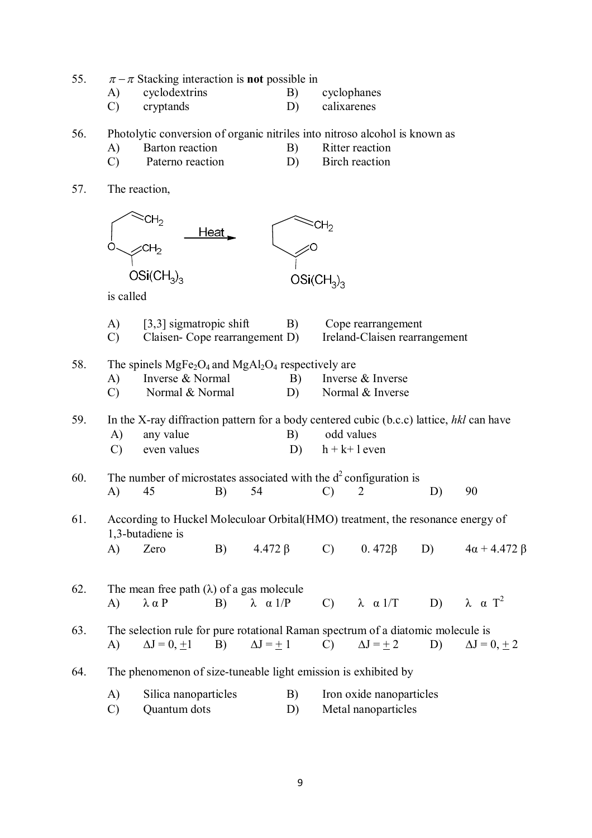| 55. |  |  | $\pi - \pi$ Stacking interaction is <b>not</b> possible in |
|-----|--|--|------------------------------------------------------------|
|     |  |  |                                                            |
|     |  |  |                                                            |

- A) cyclodextrins B)<br>
C) cryptands D) cyclophanes<br>calixarenes
- 
- 56. Photolytic conversion of organic nitriles into nitroso alcohol is known as
	- A) Barton reaction B) Ritter reaction
	- C) Paterno reaction D) Birch reaction
- 57. The reaction,

|     | O                         | CH <sub>2</sub><br>$OSi(CH_3)_3$                                                                                     | Heat _ |                      |          | CH <sub>2</sub><br>$OSi(CH_3)_3$ |                                                     |    |                         |
|-----|---------------------------|----------------------------------------------------------------------------------------------------------------------|--------|----------------------|----------|----------------------------------|-----------------------------------------------------|----|-------------------------|
|     | is called                 |                                                                                                                      |        |                      |          |                                  |                                                     |    |                         |
|     | $\bf{A}$<br>$\mathcal{C}$ | $[3,3]$ sigmatropic shift<br>Claisen-Cope rearrangement D)                                                           |        |                      | B)       |                                  | Cope rearrangement<br>Ireland-Claisen rearrangement |    |                         |
| 58. | A)<br>$\mathcal{C}$       | The spinels $MgFe2O4$ and $MgAl2O4$ respectively are<br>Inverse & Normal<br>Normal & Normal                          |        |                      | B)<br>D) |                                  | Inverse & Inverse<br>Normal & Inverse               |    |                         |
| 59. | A)<br>$\mathcal{C}$       | In the X-ray diffraction pattern for a body centered cubic (b.c.c) lattice, hkl can have<br>any value<br>even values |        |                      | B)<br>D) |                                  | odd values<br>$h + k + 1$ even                      |    |                         |
| 60. | $\mathbf{A}$              | The number of microstates associated with the $d^2$ configuration is<br>45                                           | B)     | 54                   |          | $\mathcal{C}$                    | $\overline{2}$                                      | D) | 90                      |
| 61. |                           | According to Huckel Moleculoar Orbital(HMO) treatment, the resonance energy of<br>1,3-butadiene is                   |        |                      |          |                                  |                                                     |    |                         |
|     | A)                        | Zero                                                                                                                 | B)     | $4.472 \beta$        |          | $\mathcal{C}$                    | $0.472\beta$                                        | D) | $4\alpha + 4.472 \beta$ |
| 62. | $\mathbf{A}$              | The mean free path $(\lambda)$ of a gas molecule<br>$\lambda \alpha P$                                               | B)     | $\lambda \alpha 1/P$ |          | $\mathcal{C}$ )                  | $\lambda \alpha 1/T$                                | D) | $\lambda \alpha T^2$    |
| 63. | A)                        | The selection rule for pure rotational Raman spectrum of a diatomic molecule is<br>$\Delta J = 0, \pm 1$             | B)     | $\Delta J = +1$      |          | $\mathcal{C}$                    | $\Delta J = \pm 2$                                  | D) | $\Delta J = 0, \pm 2$   |
| 64. |                           | The phenomenon of size-tuneable light emission is exhibited by                                                       |        |                      |          |                                  |                                                     |    |                         |
|     | A)<br>$\mathcal{C}$       | Silica nanoparticles<br>Quantum dots                                                                                 |        |                      | B)<br>D) |                                  | Iron oxide nanoparticles<br>Metal nanoparticles     |    |                         |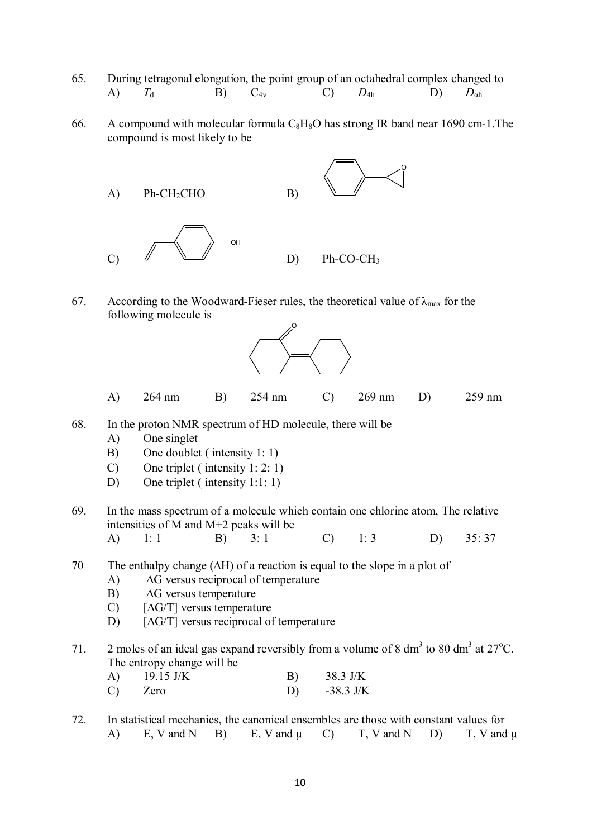- 65. During tetragonal elongation, the point group of an octahedral complex changed to A) *T*<sup>d</sup> B) C4v C) *D*4h D) *D*αh
- 66. A compound with molecular formula  $C_8H_8O$  has strong IR band near 1690 cm-1. The compound is most likely to be



67. According to the Woodward-Fieser rules, the theoretical value of  $\lambda_{\text{max}}$  for the following molecule is



- A) 264 nm B) 254 nm C) 269 nm D) 259 nm
- 68. In the proton NMR spectrum of HD molecule, there will be
	- A) One singlet
	- B) One doublet ( intensity 1: 1)
	- C) One triplet ( intensity 1: 2: 1)
	- D) One triplet (intensity 1:1: 1)
- 69. In the mass spectrum of a molecule which contain one chlorine atom, The relative intensities of M and M+2 peaks will be
	- A) 1: 1 B) 3: 1 C) 1: 3 D) 35: 37
- 70 The enthalpy change (∆H) of a reaction is equal to the slope in a plot of
	- A) ∆G versus reciprocal of temperature
	- B) ∆G versus temperature
	- C) [∆G/T] versus temperature
	- D) [∆G/T] versus reciprocal of temperature
- 71. 2 moles of an ideal gas expand reversibly from a volume of 8 dm<sup>3</sup> to 80 dm<sup>3</sup> at 27<sup>o</sup>C. The entropy change will be

| A) | $19.15 \text{ J/K}$ | B) | 38.3 J/K    |
|----|---------------------|----|-------------|
| C) | Zero                |    | $-38.3$ J/K |

72. In statistical mechanics, the canonical ensembles are those with constant values for A) E, V and N B) E, V and  $\mu$  C) T, V and N D) T, V and  $\mu$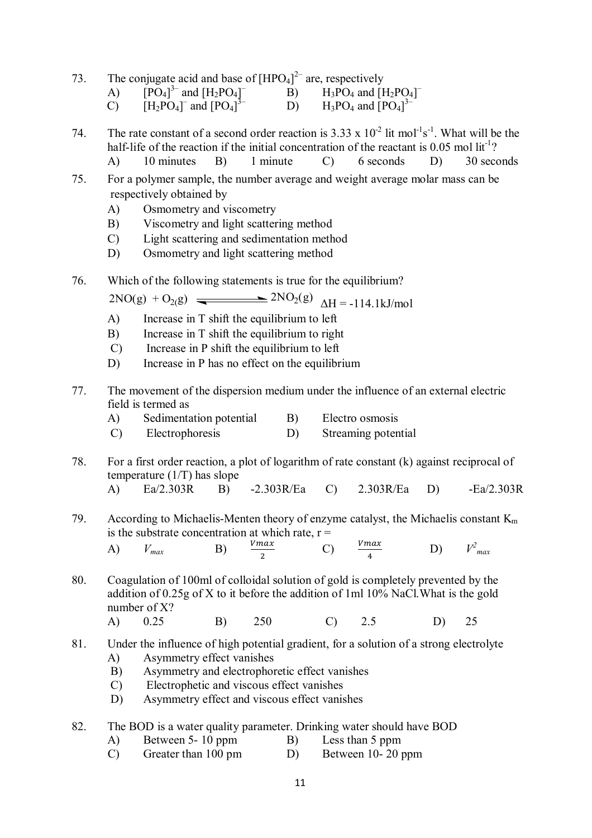| 73. |  |  | The conjugate acid and base of $[HPO4]2$ are, respectively |
|-----|--|--|------------------------------------------------------------|
|     |  |  |                                                            |

- A)  $[PO_4]^3$  and  $[H_2PO_4]$  $\overline{B}$  B) H<sub>3</sub>PO<sub>4</sub> and [H<sub>2</sub>PO<sub>4</sub>]<sup>-</sup>
- $\overline{[H_2PO_4]}$  and  $[PO_4]$  $\overline{3}$ - D) H<sub>3</sub>PO<sub>4</sub> and  $[PO_4]$ <sup>3-</sup>

74. The rate constant of a second order reaction is  $3.33 \times 10^{-2}$  lit mol<sup>-1</sup>s<sup>-1</sup>. What will be the half-life of the reaction if the initial concentration of the reactant is 0.05 mol lit<sup>-1</sup>?

- A) 10 minutes B) 1 minute C) 6 seconds D) 30 seconds
- 75. For a polymer sample, the number average and weight average molar mass can be respectively obtained by
	- A) Osmometry and viscometry
	- B) Viscometry and light scattering method
	- C) Light scattering and sedimentation method
	- D) Osmometry and light scattering method
- 76. Which of the following statements is true for the equilibrium?

 $2NO(g) + O_{2}(g)$   $\longrightarrow 2NO_{2}(g)$   $\Delta H = -114.1 \text{ kJ/mol}$ 

- A) Increase in T shift the equilibrium to left
- B) Increase in T shift the equilibrium to right
- C) Increase in P shift the equilibrium to left
- D) Increase in P has no effect on the equilibrium
- 77. The movement of the dispersion medium under the influence of an external electric field is termed as
	- A) Sedimentation potential B) Electro osmosis
	- C) Electrophoresis D) Streaming potential
- 78. For a first order reaction, a plot of logarithm of rate constant (k) against reciprocal of temperature (1/T) has slope
	- A) Ea/2.303R B) -2.303R/Ea C) 2.303R/Ea D) -Ea/2.303R
- 79. According to Michaelis-Menten theory of enzyme catalyst, the Michaelis constant  $K_m$ is the substrate concentration at which rate,  $r =$

A)  $V_{max}$  B)  $\frac{V_{max}}{2}$ ଶ  $(C)$   $\frac{Vmax}{max}$  $\overline{a}$  $D)$ *2 max*

- 80. Coagulation of 100ml of colloidal solution of gold is completely prevented by the addition of 0.25g of X to it before the addition of 1ml 10% NaCl.What is the gold number of X?
- A) 0.25 B) 250 C) 2.5 D) 25
- 81. Under the influence of high potential gradient, for a solution of a strong electrolyte A) Asymmetry effect vanishes
	- B) Asymmetry and electrophoretic effect vanishes
	- C) Electrophetic and viscous effect vanishes
	- D) Asymmetry effect and viscous effect vanishes
- 82. The BOD is a water quality parameter. Drinking water should have BOD
	- A) Between 5- 10 ppm B) Less than 5 ppm
	- C) Greater than 100 pm D) Between 10- 20 ppm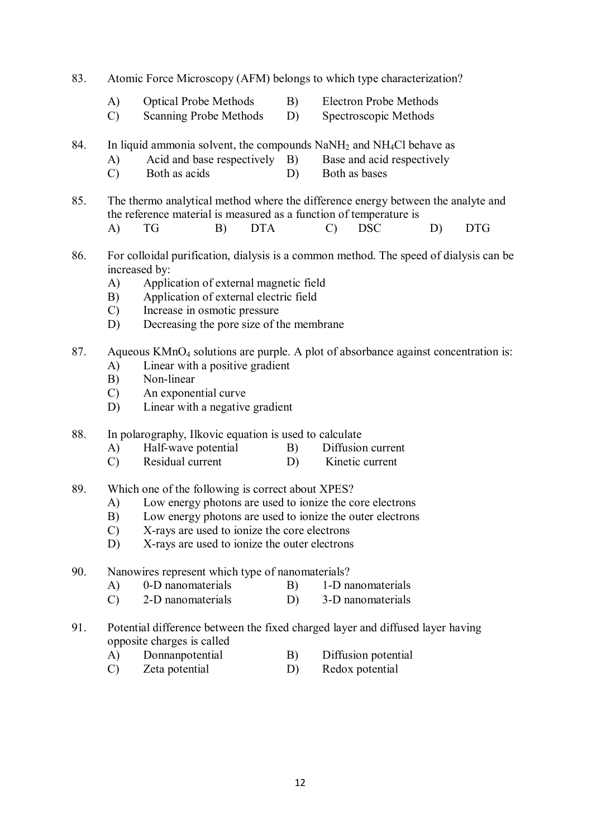- 83. Atomic Force Microscopy (AFM) belongs to which type characterization?
	- A) Optical Probe Methods B) Electron Probe Methods
	- C) Scanning Probe Methods D) Spectroscopic Methods
- 84. In liquid ammonia solvent, the compounds  $NaNH<sub>2</sub>$  and  $NH<sub>4</sub>Cl$  behave as
	- A) Acid and base respectively B) Base and acid respectively
	- C) Both as acids D) Both as bases
- 85. The thermo analytical method where the difference energy between the analyte and the reference material is measured as a function of temperature is A) TG B) DTA C) DSC D) DTG
- 86. For colloidal purification, dialysis is a common method. The speed of dialysis can be increased by:
	- A) Application of external magnetic field
	- B) Application of external electric field
	- C) Increase in osmotic pressure
	- D) Decreasing the pore size of the membrane
- 87. Aqueous KMnO<sub>4</sub> solutions are purple. A plot of absorbance against concentration is:
	- A) Linear with a positive gradient
	- B) Non-linear
	- C) An exponential curve
	- D) Linear with a negative gradient
- 88. In polarography, Ilkovic equation is used to calculate
	- A) Half-wave potential B) Diffusion current
	- C) Residual current D) Kinetic current
- 89. Which one of the following is correct about XPES?
	- A) Low energy photons are used to ionize the core electrons
	- B) Low energy photons are used to ionize the outer electrons
	- C) X-rays are used to ionize the core electrons
	- D) X-rays are used to ionize the outer electrons
- 90. Nanowires represent which type of nanomaterials?<br>A) 0-D nanomaterials B) 1-D nanomaterials
	- A) 0-D nanomaterials B)
	- C) 2-D nanomaterials D) 3-D nanomaterials
- 91. Potential difference between the fixed charged layer and diffused layer having opposite charges is called
	- A) Donnanpotential B) Diffusion potential
	- C) Zeta potential D) Redox potential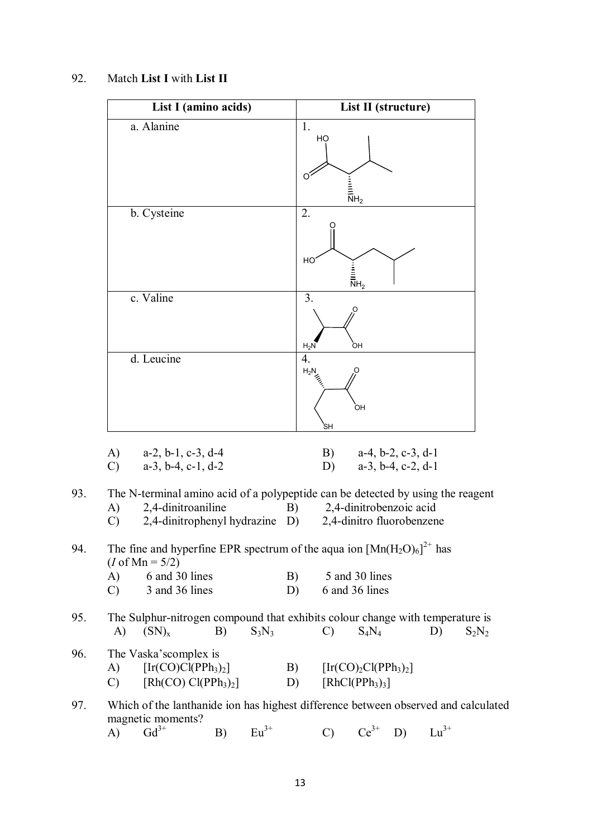| List I (amino acids)                                                                  | List II (structure)                                                                                               |
|---------------------------------------------------------------------------------------|-------------------------------------------------------------------------------------------------------------------|
| a. Alanine                                                                            | 1.<br>HO<br>O<br>$\begin{array}{c}\n\vdots \\ \hline\n\vdots \\ \hline\n\end{array}$                              |
| b. Cysteine                                                                           | 2.<br>HO<br>$\begin{array}{c}\n\vdots \\ \hline\n\end{array}$ $\overline{\overline{\overline{N}}}$ H <sub>2</sub> |
| c. Valine                                                                             | 3.<br>O<br>òн<br>$H_2N$                                                                                           |
| d. Leucine                                                                            | 4.<br><b>r</b> .<br>$H_2N$<br>ЮH<br>`SΗ                                                                           |
| A)<br>$a-2$ , $b-1$ , $c-3$ , $d-4$<br>$\mathcal{C}$<br>$a-3$ , $b-4$ , $c-1$ , $d-2$ | B)<br>$a-4$ , $b-2$ , $c-3$ , $d-1$<br>D)<br>$a-3$ , $b-4$ , $c-2$ , $d-1$                                        |

#### 92. Match **List I** with **List II**

| 93. |  |  | The N-terminal amino acid of a polypeptide can be detected by using the reagent |  |
|-----|--|--|---------------------------------------------------------------------------------|--|
|     |  |  |                                                                                 |  |

- A) 2,4-dinitroaniline B) 2,4-dinitrobenzoic acid<br>C) 2,4-dinitrophenyl hydrazine D) 2,4-dinitro fluorobenzene
- $C$ ) 2,4-dinitrophenyl hydrazine D)

### 94. The fine and hyperfine EPR spectrum of the aqua ion  $[Mn(H_2O)_6]^{2+}$  has  $(I \text{ of } Mn = 5/2)$  $4, 30$  lines

| A)            | 6 and 30 lines | B) | 5 and 30 lines |
|---------------|----------------|----|----------------|
| $\mathcal{C}$ | 3 and 36 lines |    | 6 and 36 lines |

## 95. The Sulphur-nitrogen compound that exhibits colour change with temperature is<br>A)  $(SN)_x$  B)  $S_3N_3$  C)  $S_4N_4$  D)  $S_2N_2$ A)  $(SN)_x$  B)  $S_3N_3$  C)  $S_4N_4$  D)  $S_2N_2$

### 96. The Vaska'scomplex is

| A)            | $[Ir(CO)Cl(PPh3)2]$  | B) | $[Ir(CO)2Cl(PPh3)2]$                    |
|---------------|----------------------|----|-----------------------------------------|
| $\mathcal{C}$ | $[Rh(CO) Cl(PPh3)2]$ | D) | [RhCl(PPh <sub>3</sub> ) <sub>3</sub> ] |

# 97. Which of the lanthanide ion has highest difference between observed and calculated magnetic moments?<br>A)  $Gd^{3+}$

A)  $Gd^{3+}$  B)  $Eu^{3+}$  C)  $Ce^{3+}$  D)  $Lu^{3+}$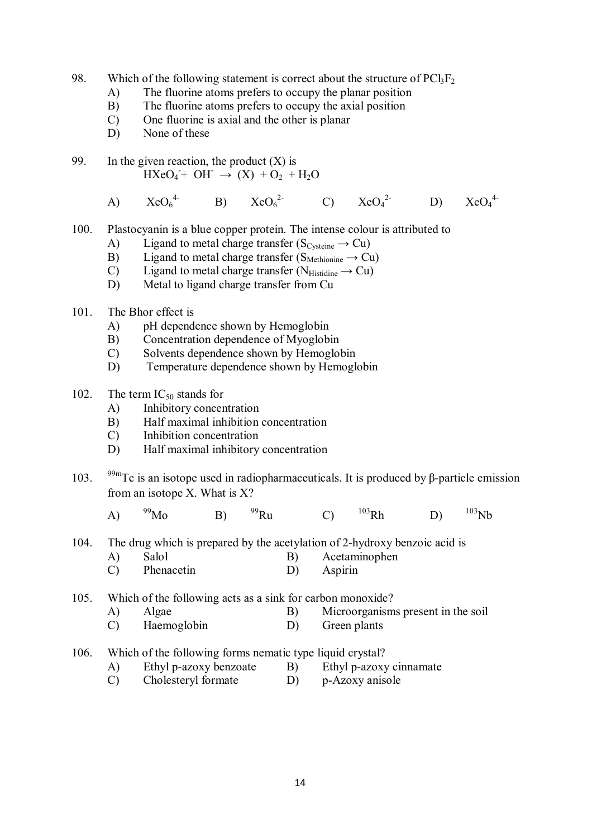- 98. Which of the following statement is correct about the structure of  $PCl<sub>3</sub>F<sub>2</sub>$ 
	- A) The fluorine atoms prefers to occupy the planar position
	- B) The fluorine atoms prefers to occupy the axial position<br>C) One fluorine is axial and the other is planar
	- C) One fluorine is axial and the other is planar
	- D) None of these
- 99. In the given reaction, the product  $(X)$  is  $HXeO_4 + OH^- \rightarrow (X) + O_2 + H_2O$ 
	- A)  $XeO<sub>6</sub><sup>4</sup>$  $B)$   $XeO<sub>6</sub><sup>2</sup>$ C)  $XeO_4^{2-}$ 2- D)  $XeO_4^{4-}$
- 100. Plastocyanin is a blue copper protein. The intense colour is attributed to
	- A) Ligand to metal charge transfer ( $S_{\text{Cysteine}} \rightarrow Cu$ )
	- B) Ligand to metal charge transfer ( $S_{\text{Methodine}} \rightarrow Cu$ )
	- C) Ligand to metal charge transfer ( $N_{\text{Histidine}} \rightarrow Cu$ )<br>
	D) Metal to ligand charge transfer from Cu
	- Metal to ligand charge transfer from Cu
- 101 The Bhor effect is
	- A) pH dependence shown by Hemoglobin
	- B) Concentration dependence of Myoglobin
	- C) Solvents dependence shown by Hemoglobin
	- D) Temperature dependence shown by Hemoglobin
- 102. The term  $IC_{50}$  stands for
	- A) Inhibitory concentration
	- B) Half maximal inhibition concentration
	- C) Inhibition concentration
	- D) Half maximal inhibitory concentration
- 103. <sup>99m</sup>Tc is an isotope used in radiopharmaceuticals. It is produced by β-particle emission from an isotope X. What is X?
	- A)  $^{99}$ Mo B)  $^{99}$ Ru C)  $^{103}$ Rh D)  $^{103}$ Nb
- 104. The drug which is prepared by the acetylation of 2-hydroxy benzoic acid is
	- A) Salol B) Acetaminophen
		- C) Phenacetin D) Aspirin

105. Which of the following acts as a sink for carbon monoxide?

- A) Algae B) Microorganisms present in the soil
- C) Haemoglobin D) Green plants
- 106. Which of the following forms nematic type liquid crystal?
	- A) Ethyl p-azoxy benzoate B) Ethyl p-azoxy cinnamate
	- C) Cholesteryl formate D) p-Azoxy anisole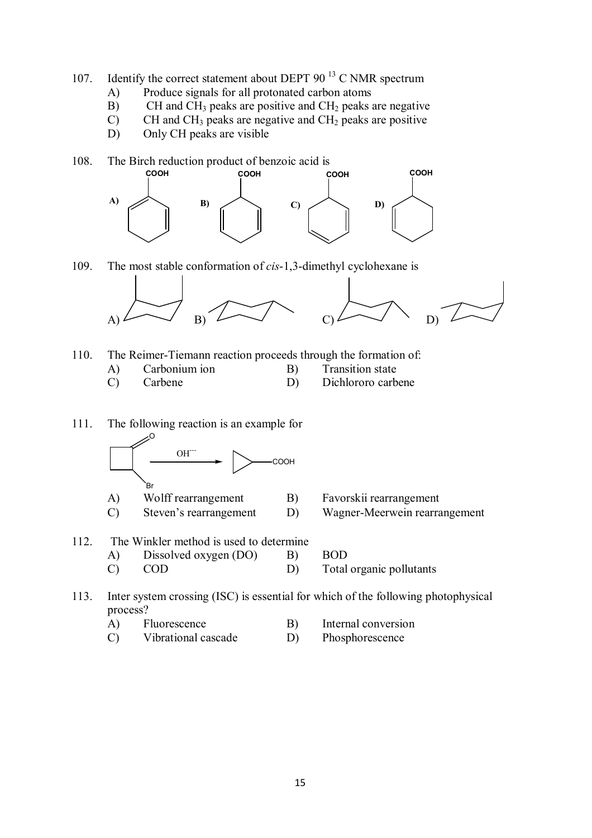- 107. Identify the correct statement about DEPT 90 $13$  C NMR spectrum
	- A) Produce signals for all protonated carbon atoms
	- B) CH and  $CH_3$  peaks are positive and  $CH_2$  peaks are negative
	- $\overrightarrow{C}$  CH and CH<sub>3</sub> peaks are negative and CH<sub>2</sub> peaks are positive
	- D) Only CH peaks are visible

108. The Birch reduction product of benzoic acid is<br>COOH COOH C



109. The most stable conformation of *cis*-1,3-dimethyl cyclohexane is



110. The Reimer-Tiemann reaction proceeds through the formation of:

A) Carbonium ion B) Transition state

- 
- 
- C) Carbene D) Dichlororo carbene

111. The following reaction is an example for O



- 
- A) Wolff rearrangement B) Favorskii rearrangement
- C) Steven's rearrangement D) Wagner-Meerwein rearrangement
- 112. The Winkler method is used to determine A) Dissolved oxygen (DO) B) BOD C) COD D) Total organic pollutants

113. Inter system crossing (ISC) is essential for which of the following photophysical process?

- A) Fluorescence B) Internal conversion
- C) Vibrational cascade D) Phosphorescence